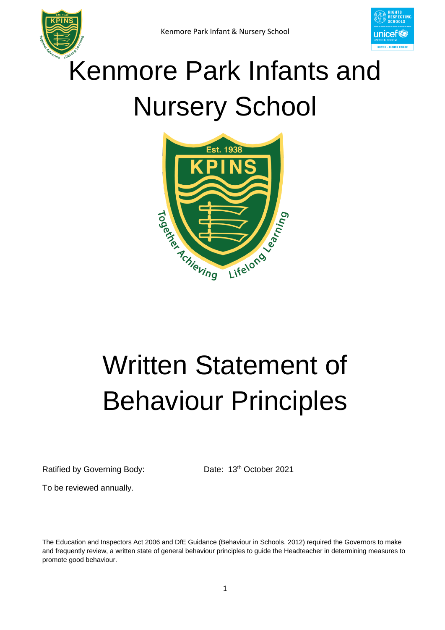

## Kenmore Park Infants and Nursery School



# Written Statement of Behaviour Principles

Ratified by Governing Body:

Date: 13<sup>th</sup> October 2021

To be reviewed annually.

The Education and Inspectors Act 2006 and DfE Guidance (Behaviour in Schools, 2012) required the Governors to make and frequently review, a written state of general behaviour principles to guide the Headteacher in determining measures to promote good behaviour.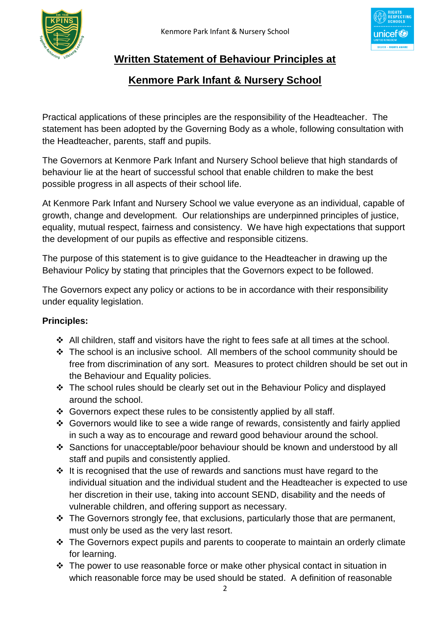



### **Written Statement of Behaviour Principles at**

#### **Kenmore Park Infant & Nursery School**

Practical applications of these principles are the responsibility of the Headteacher. The statement has been adopted by the Governing Body as a whole, following consultation with the Headteacher, parents, staff and pupils.

The Governors at Kenmore Park Infant and Nursery School believe that high standards of behaviour lie at the heart of successful school that enable children to make the best possible progress in all aspects of their school life.

At Kenmore Park Infant and Nursery School we value everyone as an individual, capable of growth, change and development. Our relationships are underpinned principles of justice, equality, mutual respect, fairness and consistency. We have high expectations that support the development of our pupils as effective and responsible citizens.

The purpose of this statement is to give guidance to the Headteacher in drawing up the Behaviour Policy by stating that principles that the Governors expect to be followed.

The Governors expect any policy or actions to be in accordance with their responsibility under equality legislation.

#### **Principles:**

- All children, staff and visitors have the right to fees safe at all times at the school.
- The school is an inclusive school. All members of the school community should be free from discrimination of any sort. Measures to protect children should be set out in the Behaviour and Equality policies.
- The school rules should be clearly set out in the Behaviour Policy and displayed around the school.
- Governors expect these rules to be consistently applied by all staff.
- Governors would like to see a wide range of rewards, consistently and fairly applied in such a way as to encourage and reward good behaviour around the school.
- Sanctions for unacceptable/poor behaviour should be known and understood by all staff and pupils and consistently applied.
- $\cdot \cdot$  It is recognised that the use of rewards and sanctions must have regard to the individual situation and the individual student and the Headteacher is expected to use her discretion in their use, taking into account SEND, disability and the needs of vulnerable children, and offering support as necessary.
- $\cdot$  The Governors strongly fee, that exclusions, particularly those that are permanent, must only be used as the very last resort.
- The Governors expect pupils and parents to cooperate to maintain an orderly climate for learning.
- $\cdot \cdot$  The power to use reasonable force or make other physical contact in situation in which reasonable force may be used should be stated. A definition of reasonable